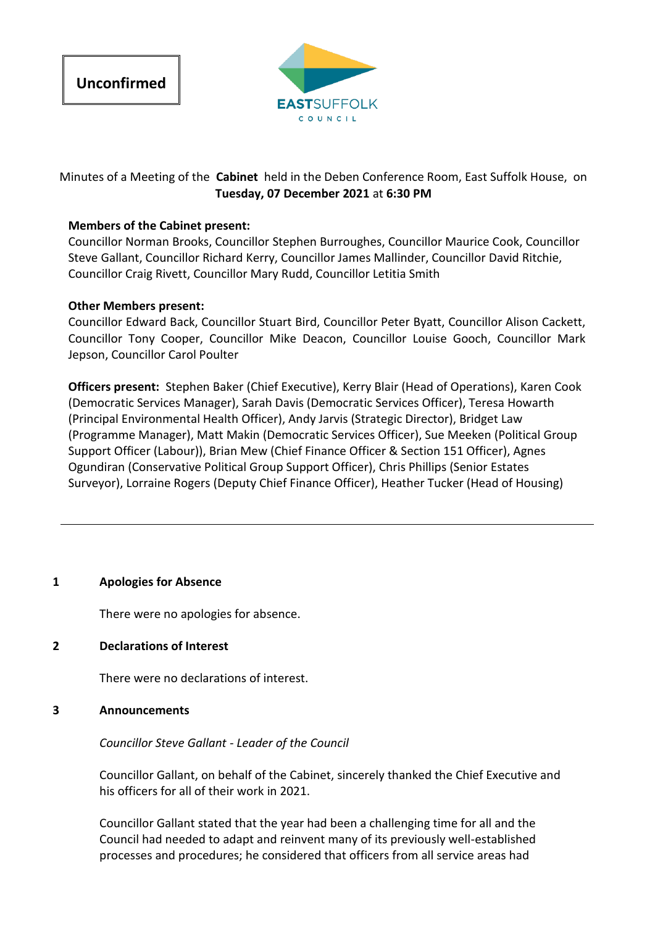



# Minutes of a Meeting of the **Cabinet** held in the Deben Conference Room, East Suffolk House, on **Tuesday, 07 December 2021** at **6:30 PM**

## **Members of the Cabinet present:**

Councillor Norman Brooks, Councillor Stephen Burroughes, Councillor Maurice Cook, Councillor Steve Gallant, Councillor Richard Kerry, Councillor James Mallinder, Councillor David Ritchie, Councillor Craig Rivett, Councillor Mary Rudd, Councillor Letitia Smith

## **Other Members present:**

Councillor Edward Back, Councillor Stuart Bird, Councillor Peter Byatt, Councillor Alison Cackett, Councillor Tony Cooper, Councillor Mike Deacon, Councillor Louise Gooch, Councillor Mark Jepson, Councillor Carol Poulter

**Officers present:** Stephen Baker (Chief Executive), Kerry Blair (Head of Operations), Karen Cook (Democratic Services Manager), Sarah Davis (Democratic Services Officer), Teresa Howarth (Principal Environmental Health Officer), Andy Jarvis (Strategic Director), Bridget Law (Programme Manager), Matt Makin (Democratic Services Officer), Sue Meeken (Political Group Support Officer (Labour)), Brian Mew (Chief Finance Officer & Section 151 Officer), Agnes Ogundiran (Conservative Political Group Support Officer), Chris Phillips (Senior Estates Surveyor), Lorraine Rogers (Deputy Chief Finance Officer), Heather Tucker (Head of Housing)

## **1 Apologies for Absence**

There were no apologies for absence.

## **2 Declarations of Interest**

There were no declarations of interest.

## **3 Announcements**

## *Councillor Steve Gallant - Leader of the Council*

Councillor Gallant, on behalf of the Cabinet, sincerely thanked the Chief Executive and his officers for all of their work in 2021.

Councillor Gallant stated that the year had been a challenging time for all and the Council had needed to adapt and reinvent many of its previously well-established processes and procedures; he considered that officers from all service areas had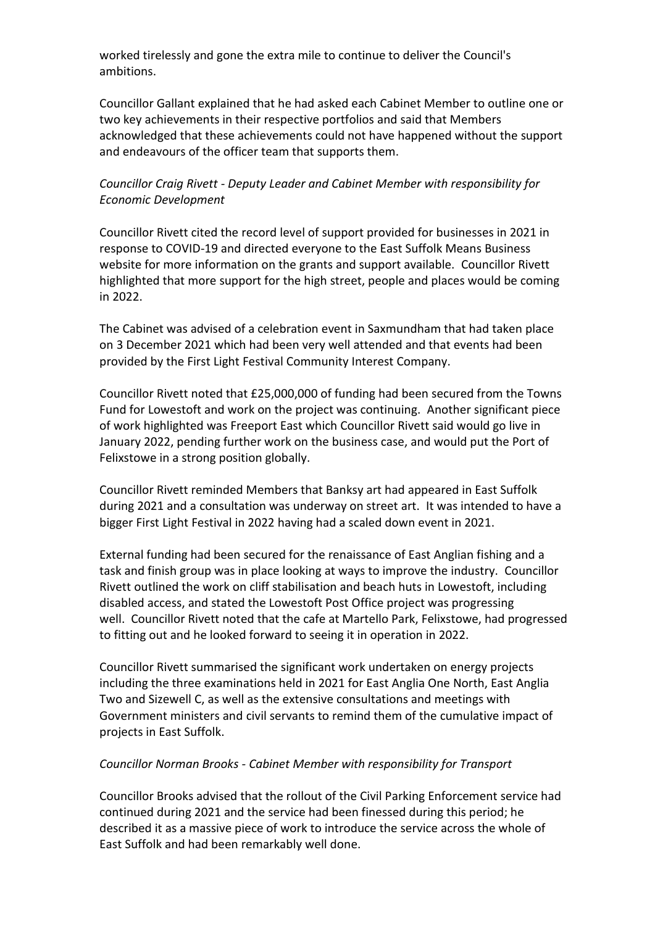worked tirelessly and gone the extra mile to continue to deliver the Council's ambitions.

Councillor Gallant explained that he had asked each Cabinet Member to outline one or two key achievements in their respective portfolios and said that Members acknowledged that these achievements could not have happened without the support and endeavours of the officer team that supports them.

# *Councillor Craig Rivett - Deputy Leader and Cabinet Member with responsibility for Economic Development*

Councillor Rivett cited the record level of support provided for businesses in 2021 in response to COVID-19 and directed everyone to the East Suffolk Means Business website for more information on the grants and support available. Councillor Rivett highlighted that more support for the high street, people and places would be coming in 2022.

The Cabinet was advised of a celebration event in Saxmundham that had taken place on 3 December 2021 which had been very well attended and that events had been provided by the First Light Festival Community Interest Company.

Councillor Rivett noted that £25,000,000 of funding had been secured from the Towns Fund for Lowestoft and work on the project was continuing. Another significant piece of work highlighted was Freeport East which Councillor Rivett said would go live in January 2022, pending further work on the business case, and would put the Port of Felixstowe in a strong position globally.

Councillor Rivett reminded Members that Banksy art had appeared in East Suffolk during 2021 and a consultation was underway on street art. It was intended to have a bigger First Light Festival in 2022 having had a scaled down event in 2021.

External funding had been secured for the renaissance of East Anglian fishing and a task and finish group was in place looking at ways to improve the industry. Councillor Rivett outlined the work on cliff stabilisation and beach huts in Lowestoft, including disabled access, and stated the Lowestoft Post Office project was progressing well. Councillor Rivett noted that the cafe at Martello Park, Felixstowe, had progressed to fitting out and he looked forward to seeing it in operation in 2022.

Councillor Rivett summarised the significant work undertaken on energy projects including the three examinations held in 2021 for East Anglia One North, East Anglia Two and Sizewell C, as well as the extensive consultations and meetings with Government ministers and civil servants to remind them of the cumulative impact of projects in East Suffolk.

## *Councillor Norman Brooks - Cabinet Member with responsibility for Transport*

Councillor Brooks advised that the rollout of the Civil Parking Enforcement service had continued during 2021 and the service had been finessed during this period; he described it as a massive piece of work to introduce the service across the whole of East Suffolk and had been remarkably well done.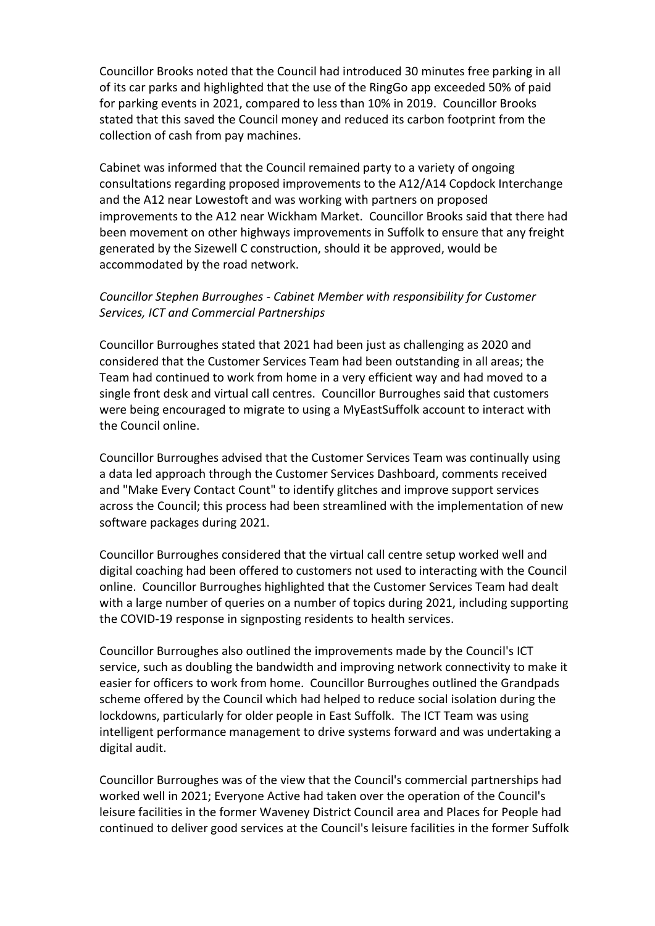Councillor Brooks noted that the Council had introduced 30 minutes free parking in all of its car parks and highlighted that the use of the RingGo app exceeded 50% of paid for parking events in 2021, compared to less than 10% in 2019. Councillor Brooks stated that this saved the Council money and reduced its carbon footprint from the collection of cash from pay machines.

Cabinet was informed that the Council remained party to a variety of ongoing consultations regarding proposed improvements to the A12/A14 Copdock Interchange and the A12 near Lowestoft and was working with partners on proposed improvements to the A12 near Wickham Market. Councillor Brooks said that there had been movement on other highways improvements in Suffolk to ensure that any freight generated by the Sizewell C construction, should it be approved, would be accommodated by the road network.

## *Councillor Stephen Burroughes - Cabinet Member with responsibility for Customer Services, ICT and Commercial Partnerships*

Councillor Burroughes stated that 2021 had been just as challenging as 2020 and considered that the Customer Services Team had been outstanding in all areas; the Team had continued to work from home in a very efficient way and had moved to a single front desk and virtual call centres. Councillor Burroughes said that customers were being encouraged to migrate to using a MyEastSuffolk account to interact with the Council online.

Councillor Burroughes advised that the Customer Services Team was continually using a data led approach through the Customer Services Dashboard, comments received and "Make Every Contact Count" to identify glitches and improve support services across the Council; this process had been streamlined with the implementation of new software packages during 2021.

Councillor Burroughes considered that the virtual call centre setup worked well and digital coaching had been offered to customers not used to interacting with the Council online. Councillor Burroughes highlighted that the Customer Services Team had dealt with a large number of queries on a number of topics during 2021, including supporting the COVID-19 response in signposting residents to health services.

Councillor Burroughes also outlined the improvements made by the Council's ICT service, such as doubling the bandwidth and improving network connectivity to make it easier for officers to work from home. Councillor Burroughes outlined the Grandpads scheme offered by the Council which had helped to reduce social isolation during the lockdowns, particularly for older people in East Suffolk. The ICT Team was using intelligent performance management to drive systems forward and was undertaking a digital audit.

Councillor Burroughes was of the view that the Council's commercial partnerships had worked well in 2021; Everyone Active had taken over the operation of the Council's leisure facilities in the former Waveney District Council area and Places for People had continued to deliver good services at the Council's leisure facilities in the former Suffolk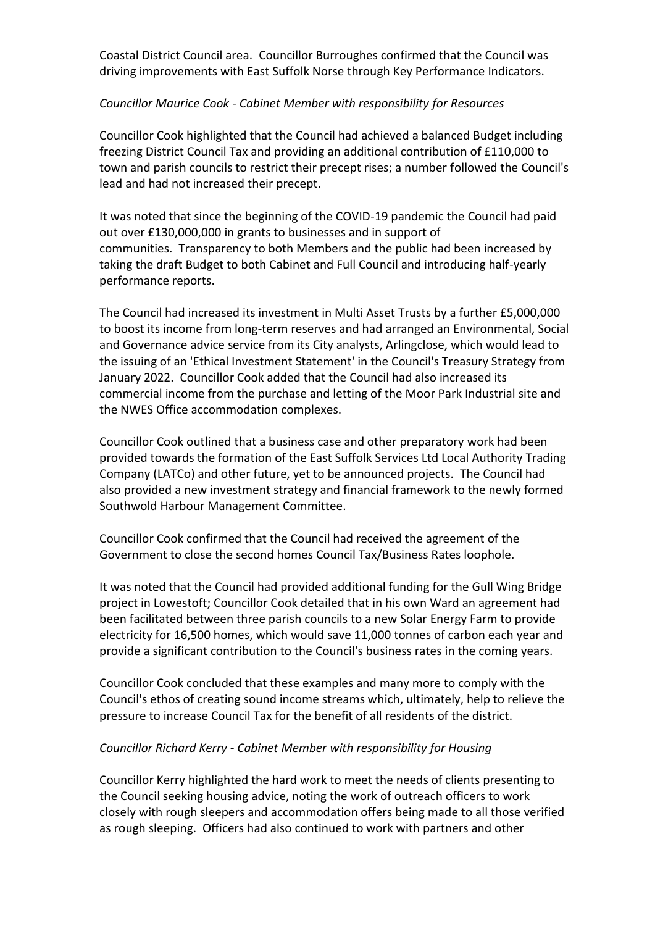Coastal District Council area. Councillor Burroughes confirmed that the Council was driving improvements with East Suffolk Norse through Key Performance Indicators.

## *Councillor Maurice Cook - Cabinet Member with responsibility for Resources*

Councillor Cook highlighted that the Council had achieved a balanced Budget including freezing District Council Tax and providing an additional contribution of £110,000 to town and parish councils to restrict their precept rises; a number followed the Council's lead and had not increased their precept.

It was noted that since the beginning of the COVID-19 pandemic the Council had paid out over £130,000,000 in grants to businesses and in support of communities. Transparency to both Members and the public had been increased by taking the draft Budget to both Cabinet and Full Council and introducing half-yearly performance reports.

The Council had increased its investment in Multi Asset Trusts by a further £5,000,000 to boost its income from long-term reserves and had arranged an Environmental, Social and Governance advice service from its City analysts, Arlingclose, which would lead to the issuing of an 'Ethical Investment Statement' in the Council's Treasury Strategy from January 2022. Councillor Cook added that the Council had also increased its commercial income from the purchase and letting of the Moor Park Industrial site and the NWES Office accommodation complexes.

Councillor Cook outlined that a business case and other preparatory work had been provided towards the formation of the East Suffolk Services Ltd Local Authority Trading Company (LATCo) and other future, yet to be announced projects. The Council had also provided a new investment strategy and financial framework to the newly formed Southwold Harbour Management Committee.

Councillor Cook confirmed that the Council had received the agreement of the Government to close the second homes Council Tax/Business Rates loophole.

It was noted that the Council had provided additional funding for the Gull Wing Bridge project in Lowestoft; Councillor Cook detailed that in his own Ward an agreement had been facilitated between three parish councils to a new Solar Energy Farm to provide electricity for 16,500 homes, which would save 11,000 tonnes of carbon each year and provide a significant contribution to the Council's business rates in the coming years.

Councillor Cook concluded that these examples and many more to comply with the Council's ethos of creating sound income streams which, ultimately, help to relieve the pressure to increase Council Tax for the benefit of all residents of the district.

## *Councillor Richard Kerry - Cabinet Member with responsibility for Housing*

Councillor Kerry highlighted the hard work to meet the needs of clients presenting to the Council seeking housing advice, noting the work of outreach officers to work closely with rough sleepers and accommodation offers being made to all those verified as rough sleeping. Officers had also continued to work with partners and other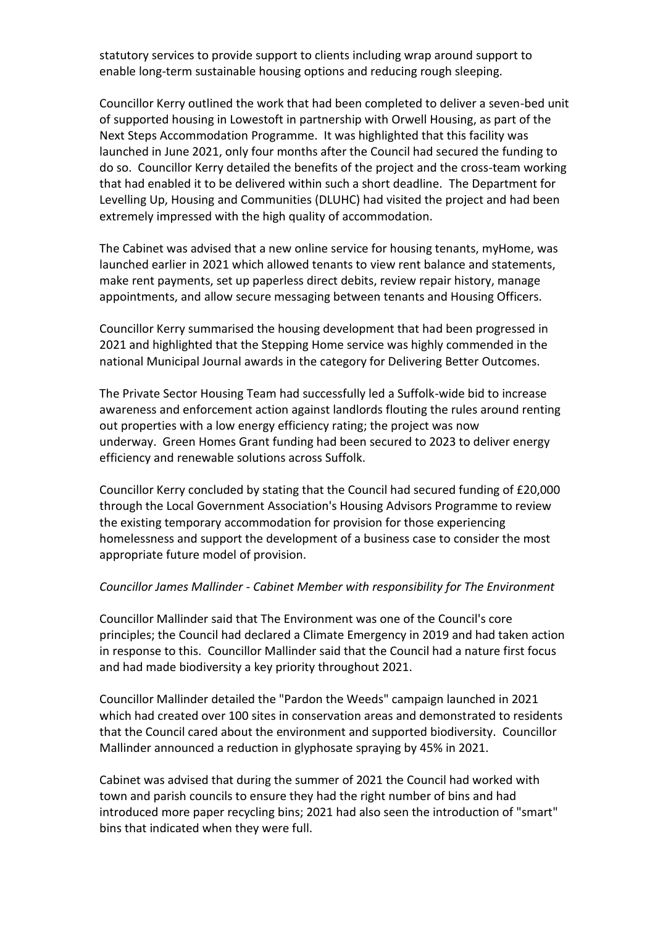statutory services to provide support to clients including wrap around support to enable long-term sustainable housing options and reducing rough sleeping.

Councillor Kerry outlined the work that had been completed to deliver a seven-bed unit of supported housing in Lowestoft in partnership with Orwell Housing, as part of the Next Steps Accommodation Programme. It was highlighted that this facility was launched in June 2021, only four months after the Council had secured the funding to do so. Councillor Kerry detailed the benefits of the project and the cross-team working that had enabled it to be delivered within such a short deadline. The Department for Levelling Up, Housing and Communities (DLUHC) had visited the project and had been extremely impressed with the high quality of accommodation.

The Cabinet was advised that a new online service for housing tenants, myHome, was launched earlier in 2021 which allowed tenants to view rent balance and statements, make rent payments, set up paperless direct debits, review repair history, manage appointments, and allow secure messaging between tenants and Housing Officers.

Councillor Kerry summarised the housing development that had been progressed in 2021 and highlighted that the Stepping Home service was highly commended in the national Municipal Journal awards in the category for Delivering Better Outcomes.

The Private Sector Housing Team had successfully led a Suffolk-wide bid to increase awareness and enforcement action against landlords flouting the rules around renting out properties with a low energy efficiency rating; the project was now underway. Green Homes Grant funding had been secured to 2023 to deliver energy efficiency and renewable solutions across Suffolk.

Councillor Kerry concluded by stating that the Council had secured funding of £20,000 through the Local Government Association's Housing Advisors Programme to review the existing temporary accommodation for provision for those experiencing homelessness and support the development of a business case to consider the most appropriate future model of provision.

#### *Councillor James Mallinder - Cabinet Member with responsibility for The Environment*

Councillor Mallinder said that The Environment was one of the Council's core principles; the Council had declared a Climate Emergency in 2019 and had taken action in response to this. Councillor Mallinder said that the Council had a nature first focus and had made biodiversity a key priority throughout 2021.

Councillor Mallinder detailed the "Pardon the Weeds" campaign launched in 2021 which had created over 100 sites in conservation areas and demonstrated to residents that the Council cared about the environment and supported biodiversity. Councillor Mallinder announced a reduction in glyphosate spraying by 45% in 2021.

Cabinet was advised that during the summer of 2021 the Council had worked with town and parish councils to ensure they had the right number of bins and had introduced more paper recycling bins; 2021 had also seen the introduction of "smart" bins that indicated when they were full.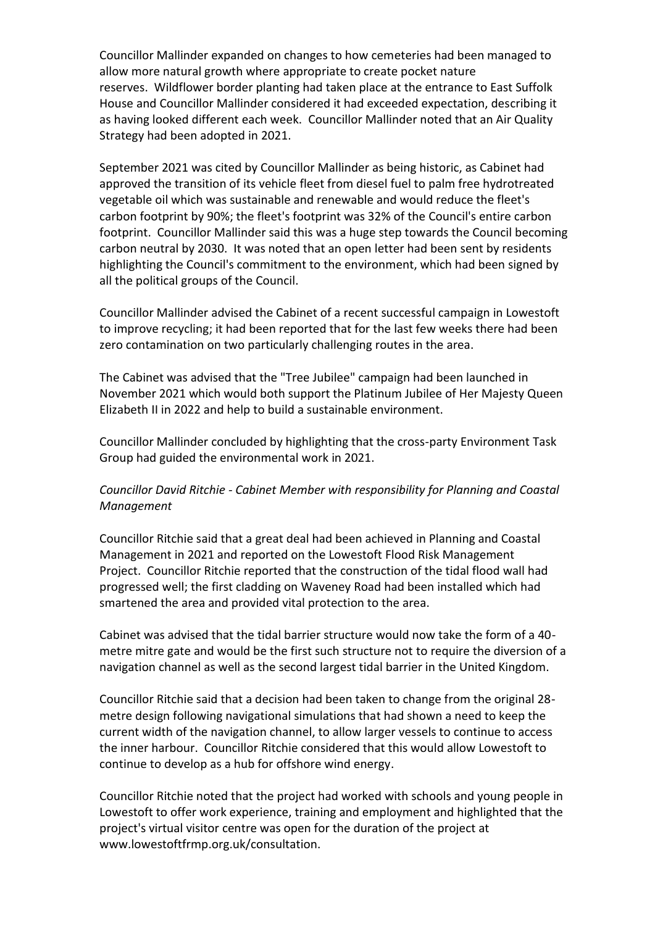Councillor Mallinder expanded on changes to how cemeteries had been managed to allow more natural growth where appropriate to create pocket nature reserves. Wildflower border planting had taken place at the entrance to East Suffolk House and Councillor Mallinder considered it had exceeded expectation, describing it as having looked different each week. Councillor Mallinder noted that an Air Quality Strategy had been adopted in 2021.

September 2021 was cited by Councillor Mallinder as being historic, as Cabinet had approved the transition of its vehicle fleet from diesel fuel to palm free hydrotreated vegetable oil which was sustainable and renewable and would reduce the fleet's carbon footprint by 90%; the fleet's footprint was 32% of the Council's entire carbon footprint. Councillor Mallinder said this was a huge step towards the Council becoming carbon neutral by 2030. It was noted that an open letter had been sent by residents highlighting the Council's commitment to the environment, which had been signed by all the political groups of the Council.

Councillor Mallinder advised the Cabinet of a recent successful campaign in Lowestoft to improve recycling; it had been reported that for the last few weeks there had been zero contamination on two particularly challenging routes in the area.

The Cabinet was advised that the "Tree Jubilee" campaign had been launched in November 2021 which would both support the Platinum Jubilee of Her Majesty Queen Elizabeth II in 2022 and help to build a sustainable environment.

Councillor Mallinder concluded by highlighting that the cross-party Environment Task Group had guided the environmental work in 2021.

# *Councillor David Ritchie - Cabinet Member with responsibility for Planning and Coastal Management*

Councillor Ritchie said that a great deal had been achieved in Planning and Coastal Management in 2021 and reported on the Lowestoft Flood Risk Management Project. Councillor Ritchie reported that the construction of the tidal flood wall had progressed well; the first cladding on Waveney Road had been installed which had smartened the area and provided vital protection to the area.

Cabinet was advised that the tidal barrier structure would now take the form of a 40 metre mitre gate and would be the first such structure not to require the diversion of a navigation channel as well as the second largest tidal barrier in the United Kingdom.

Councillor Ritchie said that a decision had been taken to change from the original 28 metre design following navigational simulations that had shown a need to keep the current width of the navigation channel, to allow larger vessels to continue to access the inner harbour. Councillor Ritchie considered that this would allow Lowestoft to continue to develop as a hub for offshore wind energy.

Councillor Ritchie noted that the project had worked with schools and young people in Lowestoft to offer work experience, training and employment and highlighted that the project's virtual visitor centre was open for the duration of the project at www.lowestoftfrmp.org.uk/consultation.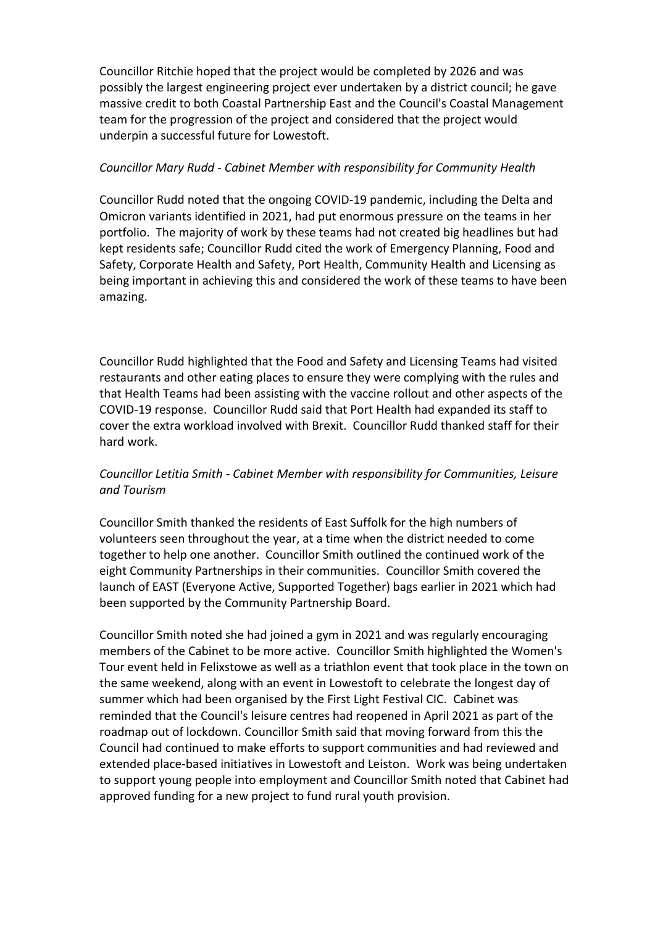Councillor Ritchie hoped that the project would be completed by 2026 and was possibly the largest engineering project ever undertaken by a district council; he gave massive credit to both Coastal Partnership East and the Council's Coastal Management team for the progression of the project and considered that the project would underpin a successful future for Lowestoft.

## *Councillor Mary Rudd - Cabinet Member with responsibility for Community Health*

Councillor Rudd noted that the ongoing COVID-19 pandemic, including the Delta and Omicron variants identified in 2021, had put enormous pressure on the teams in her portfolio. The majority of work by these teams had not created big headlines but had kept residents safe; Councillor Rudd cited the work of Emergency Planning, Food and Safety, Corporate Health and Safety, Port Health, Community Health and Licensing as being important in achieving this and considered the work of these teams to have been amazing.

Councillor Rudd highlighted that the Food and Safety and Licensing Teams had visited restaurants and other eating places to ensure they were complying with the rules and that Health Teams had been assisting with the vaccine rollout and other aspects of the COVID-19 response. Councillor Rudd said that Port Health had expanded its staff to cover the extra workload involved with Brexit. Councillor Rudd thanked staff for their hard work.

# *Councillor Letitia Smith - Cabinet Member with responsibility for Communities, Leisure and Tourism*

Councillor Smith thanked the residents of East Suffolk for the high numbers of volunteers seen throughout the year, at a time when the district needed to come together to help one another. Councillor Smith outlined the continued work of the eight Community Partnerships in their communities. Councillor Smith covered the launch of EAST (Everyone Active, Supported Together) bags earlier in 2021 which had been supported by the Community Partnership Board.

Councillor Smith noted she had joined a gym in 2021 and was regularly encouraging members of the Cabinet to be more active. Councillor Smith highlighted the Women's Tour event held in Felixstowe as well as a triathlon event that took place in the town on the same weekend, along with an event in Lowestoft to celebrate the longest day of summer which had been organised by the First Light Festival CIC. Cabinet was reminded that the Council's leisure centres had reopened in April 2021 as part of the roadmap out of lockdown. Councillor Smith said that moving forward from this the Council had continued to make efforts to support communities and had reviewed and extended place-based initiatives in Lowestoft and Leiston. Work was being undertaken to support young people into employment and Councillor Smith noted that Cabinet had approved funding for a new project to fund rural youth provision.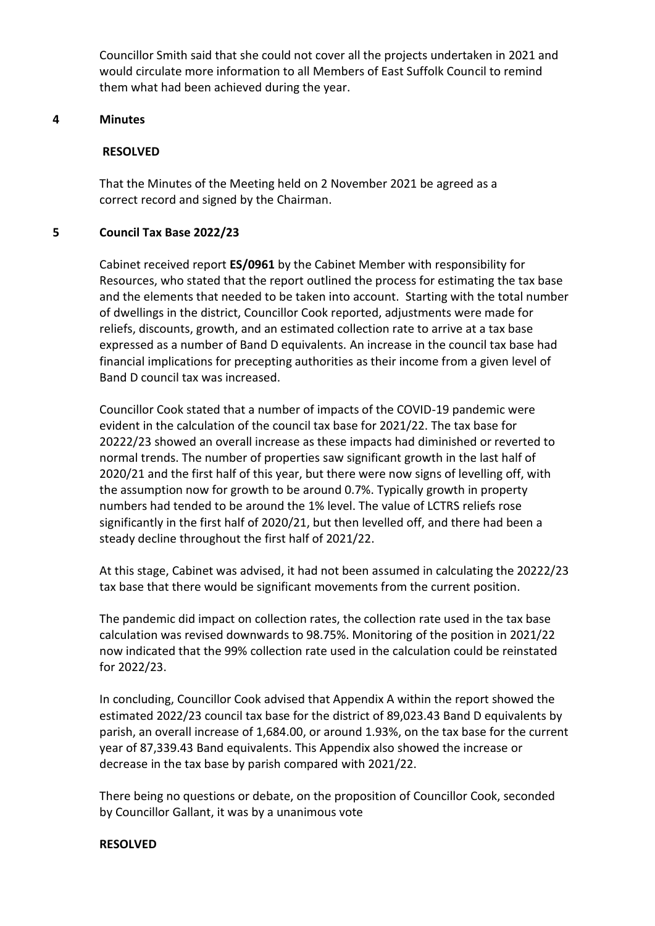Councillor Smith said that she could not cover all the projects undertaken in 2021 and would circulate more information to all Members of East Suffolk Council to remind them what had been achieved during the year.

#### **4 Minutes**

## **RESOLVED**

That the Minutes of the Meeting held on 2 November 2021 be agreed as a correct record and signed by the Chairman.

## **5 Council Tax Base 2022/23**

Cabinet received report **ES/0961** by the Cabinet Member with responsibility for Resources, who stated that the report outlined the process for estimating the tax base and the elements that needed to be taken into account. Starting with the total number of dwellings in the district, Councillor Cook reported, adjustments were made for reliefs, discounts, growth, and an estimated collection rate to arrive at a tax base expressed as a number of Band D equivalents. An increase in the council tax base had financial implications for precepting authorities as their income from a given level of Band D council tax was increased.

Councillor Cook stated that a number of impacts of the COVID-19 pandemic were evident in the calculation of the council tax base for 2021/22. The tax base for 20222/23 showed an overall increase as these impacts had diminished or reverted to normal trends. The number of properties saw significant growth in the last half of 2020/21 and the first half of this year, but there were now signs of levelling off, with the assumption now for growth to be around 0.7%. Typically growth in property numbers had tended to be around the 1% level. The value of LCTRS reliefs rose significantly in the first half of 2020/21, but then levelled off, and there had been a steady decline throughout the first half of 2021/22.

At this stage, Cabinet was advised, it had not been assumed in calculating the 20222/23 tax base that there would be significant movements from the current position.

The pandemic did impact on collection rates, the collection rate used in the tax base calculation was revised downwards to 98.75%. Monitoring of the position in 2021/22 now indicated that the 99% collection rate used in the calculation could be reinstated for 2022/23.

In concluding, Councillor Cook advised that Appendix A within the report showed the estimated 2022/23 council tax base for the district of 89,023.43 Band D equivalents by parish, an overall increase of 1,684.00, or around 1.93%, on the tax base for the current year of 87,339.43 Band equivalents. This Appendix also showed the increase or decrease in the tax base by parish compared with 2021/22.

There being no questions or debate, on the proposition of Councillor Cook, seconded by Councillor Gallant, it was by a unanimous vote

#### **RESOLVED**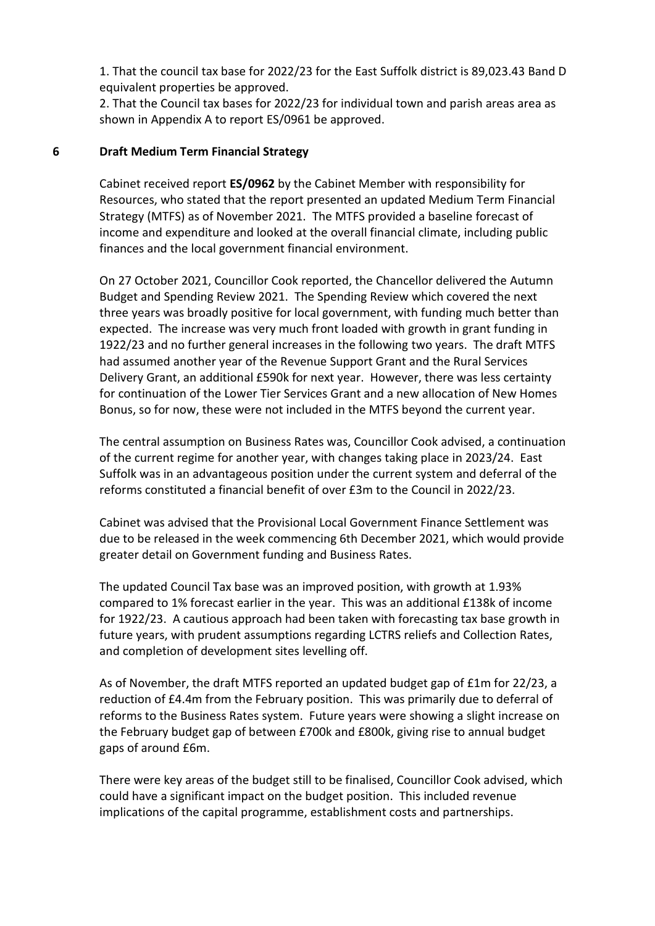1. That the council tax base for 2022/23 for the East Suffolk district is 89,023.43 Band D equivalent properties be approved.

2. That the Council tax bases for 2022/23 for individual town and parish areas area as shown in Appendix A to report ES/0961 be approved.

## **6 Draft Medium Term Financial Strategy**

Cabinet received report **ES/0962** by the Cabinet Member with responsibility for Resources, who stated that the report presented an updated Medium Term Financial Strategy (MTFS) as of November 2021. The MTFS provided a baseline forecast of income and expenditure and looked at the overall financial climate, including public finances and the local government financial environment.

On 27 October 2021, Councillor Cook reported, the Chancellor delivered the Autumn Budget and Spending Review 2021. The Spending Review which covered the next three years was broadly positive for local government, with funding much better than expected. The increase was very much front loaded with growth in grant funding in 1922/23 and no further general increases in the following two years. The draft MTFS had assumed another year of the Revenue Support Grant and the Rural Services Delivery Grant, an additional £590k for next year. However, there was less certainty for continuation of the Lower Tier Services Grant and a new allocation of New Homes Bonus, so for now, these were not included in the MTFS beyond the current year.

The central assumption on Business Rates was, Councillor Cook advised, a continuation of the current regime for another year, with changes taking place in 2023/24. East Suffolk was in an advantageous position under the current system and deferral of the reforms constituted a financial benefit of over £3m to the Council in 2022/23.

Cabinet was advised that the Provisional Local Government Finance Settlement was due to be released in the week commencing 6th December 2021, which would provide greater detail on Government funding and Business Rates.

The updated Council Tax base was an improved position, with growth at 1.93% compared to 1% forecast earlier in the year. This was an additional £138k of income for 1922/23. A cautious approach had been taken with forecasting tax base growth in future years, with prudent assumptions regarding LCTRS reliefs and Collection Rates, and completion of development sites levelling off.

As of November, the draft MTFS reported an updated budget gap of £1m for 22/23, a reduction of £4.4m from the February position. This was primarily due to deferral of reforms to the Business Rates system. Future years were showing a slight increase on the February budget gap of between £700k and £800k, giving rise to annual budget gaps of around £6m.

There were key areas of the budget still to be finalised, Councillor Cook advised, which could have a significant impact on the budget position. This included revenue implications of the capital programme, establishment costs and partnerships.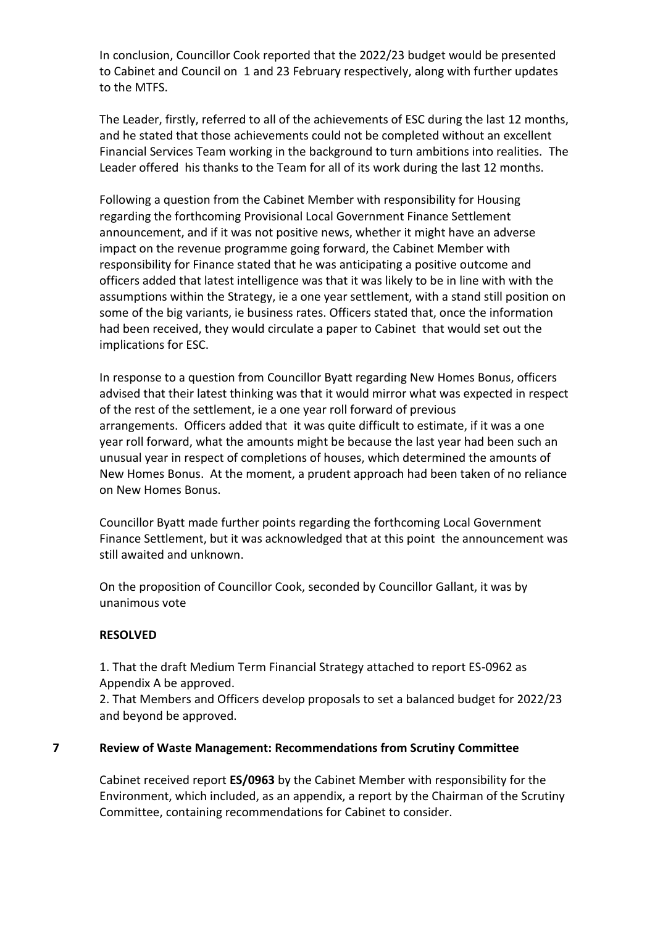In conclusion, Councillor Cook reported that the 2022/23 budget would be presented to Cabinet and Council on 1 and 23 February respectively, along with further updates to the MTFS.

The Leader, firstly, referred to all of the achievements of ESC during the last 12 months, and he stated that those achievements could not be completed without an excellent Financial Services Team working in the background to turn ambitions into realities. The Leader offered his thanks to the Team for all of its work during the last 12 months.

Following a question from the Cabinet Member with responsibility for Housing regarding the forthcoming Provisional Local Government Finance Settlement announcement, and if it was not positive news, whether it might have an adverse impact on the revenue programme going forward, the Cabinet Member with responsibility for Finance stated that he was anticipating a positive outcome and officers added that latest intelligence was that it was likely to be in line with with the assumptions within the Strategy, ie a one year settlement, with a stand still position on some of the big variants, ie business rates. Officers stated that, once the information had been received, they would circulate a paper to Cabinet that would set out the implications for ESC.

In response to a question from Councillor Byatt regarding New Homes Bonus, officers advised that their latest thinking was that it would mirror what was expected in respect of the rest of the settlement, ie a one year roll forward of previous arrangements. Officers added that it was quite difficult to estimate, if it was a one year roll forward, what the amounts might be because the last year had been such an unusual year in respect of completions of houses, which determined the amounts of New Homes Bonus. At the moment, a prudent approach had been taken of no reliance on New Homes Bonus.

Councillor Byatt made further points regarding the forthcoming Local Government Finance Settlement, but it was acknowledged that at this point the announcement was still awaited and unknown.

On the proposition of Councillor Cook, seconded by Councillor Gallant, it was by unanimous vote

# **RESOLVED**

1. That the draft Medium Term Financial Strategy attached to report ES-0962 as Appendix A be approved.

2. That Members and Officers develop proposals to set a balanced budget for 2022/23 and beyond be approved.

## **7 Review of Waste Management: Recommendations from Scrutiny Committee**

Cabinet received report **ES/0963** by the Cabinet Member with responsibility for the Environment, which included, as an appendix, a report by the Chairman of the Scrutiny Committee, containing recommendations for Cabinet to consider.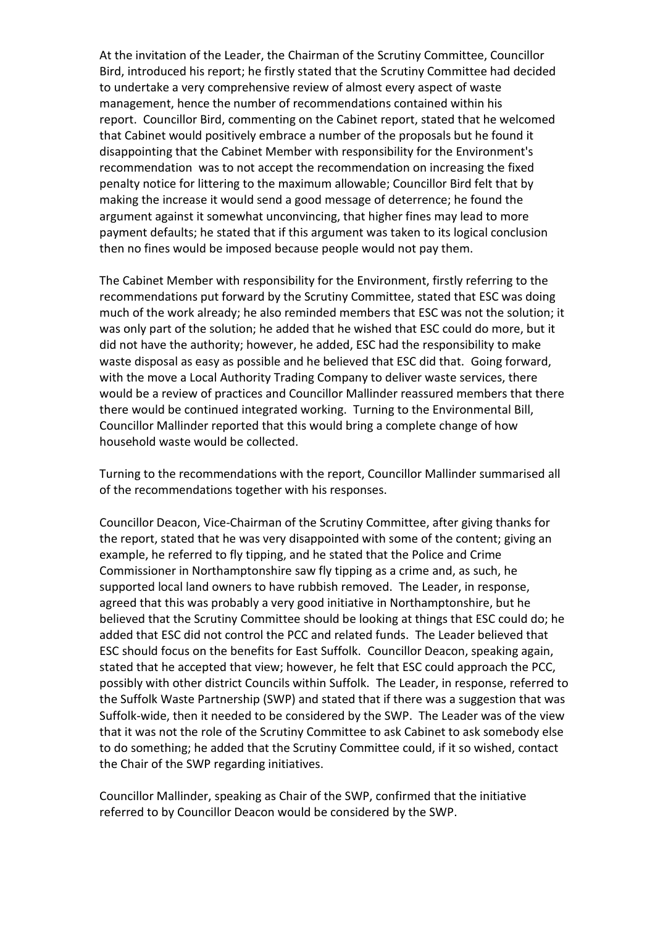At the invitation of the Leader, the Chairman of the Scrutiny Committee, Councillor Bird, introduced his report; he firstly stated that the Scrutiny Committee had decided to undertake a very comprehensive review of almost every aspect of waste management, hence the number of recommendations contained within his report. Councillor Bird, commenting on the Cabinet report, stated that he welcomed that Cabinet would positively embrace a number of the proposals but he found it disappointing that the Cabinet Member with responsibility for the Environment's recommendation was to not accept the recommendation on increasing the fixed penalty notice for littering to the maximum allowable; Councillor Bird felt that by making the increase it would send a good message of deterrence; he found the argument against it somewhat unconvincing, that higher fines may lead to more payment defaults; he stated that if this argument was taken to its logical conclusion then no fines would be imposed because people would not pay them.

The Cabinet Member with responsibility for the Environment, firstly referring to the recommendations put forward by the Scrutiny Committee, stated that ESC was doing much of the work already; he also reminded members that ESC was not the solution; it was only part of the solution; he added that he wished that ESC could do more, but it did not have the authority; however, he added, ESC had the responsibility to make waste disposal as easy as possible and he believed that ESC did that. Going forward, with the move a Local Authority Trading Company to deliver waste services, there would be a review of practices and Councillor Mallinder reassured members that there there would be continued integrated working. Turning to the Environmental Bill, Councillor Mallinder reported that this would bring a complete change of how household waste would be collected.

Turning to the recommendations with the report, Councillor Mallinder summarised all of the recommendations together with his responses.

Councillor Deacon, Vice-Chairman of the Scrutiny Committee, after giving thanks for the report, stated that he was very disappointed with some of the content; giving an example, he referred to fly tipping, and he stated that the Police and Crime Commissioner in Northamptonshire saw fly tipping as a crime and, as such, he supported local land owners to have rubbish removed. The Leader, in response, agreed that this was probably a very good initiative in Northamptonshire, but he believed that the Scrutiny Committee should be looking at things that ESC could do; he added that ESC did not control the PCC and related funds. The Leader believed that ESC should focus on the benefits for East Suffolk. Councillor Deacon, speaking again, stated that he accepted that view; however, he felt that ESC could approach the PCC, possibly with other district Councils within Suffolk. The Leader, in response, referred to the Suffolk Waste Partnership (SWP) and stated that if there was a suggestion that was Suffolk-wide, then it needed to be considered by the SWP. The Leader was of the view that it was not the role of the Scrutiny Committee to ask Cabinet to ask somebody else to do something; he added that the Scrutiny Committee could, if it so wished, contact the Chair of the SWP regarding initiatives.

Councillor Mallinder, speaking as Chair of the SWP, confirmed that the initiative referred to by Councillor Deacon would be considered by the SWP.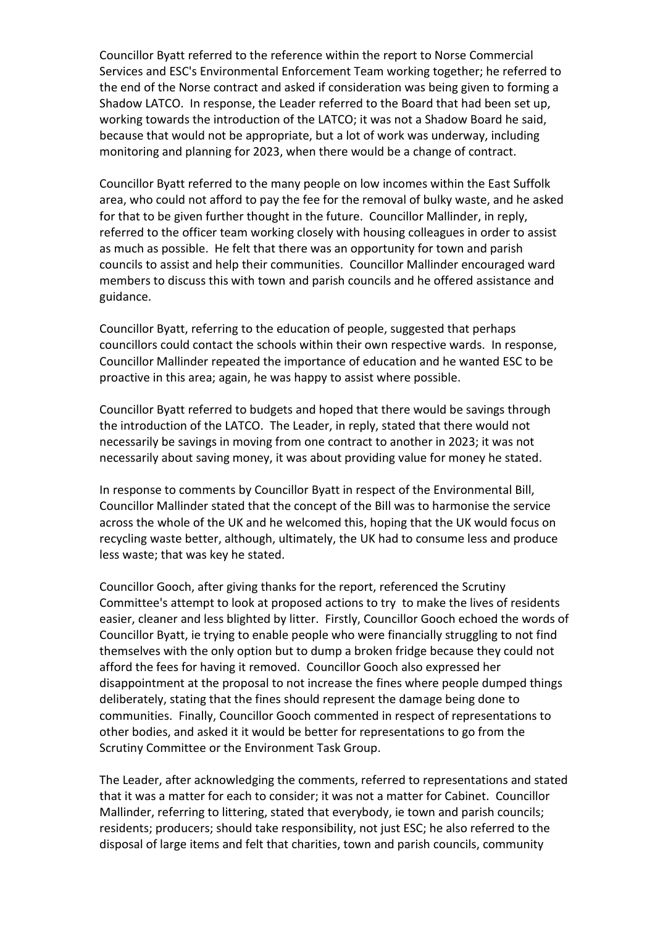Councillor Byatt referred to the reference within the report to Norse Commercial Services and ESC's Environmental Enforcement Team working together; he referred to the end of the Norse contract and asked if consideration was being given to forming a Shadow LATCO. In response, the Leader referred to the Board that had been set up, working towards the introduction of the LATCO; it was not a Shadow Board he said, because that would not be appropriate, but a lot of work was underway, including monitoring and planning for 2023, when there would be a change of contract.

Councillor Byatt referred to the many people on low incomes within the East Suffolk area, who could not afford to pay the fee for the removal of bulky waste, and he asked for that to be given further thought in the future. Councillor Mallinder, in reply, referred to the officer team working closely with housing colleagues in order to assist as much as possible. He felt that there was an opportunity for town and parish councils to assist and help their communities. Councillor Mallinder encouraged ward members to discuss this with town and parish councils and he offered assistance and guidance.

Councillor Byatt, referring to the education of people, suggested that perhaps councillors could contact the schools within their own respective wards. In response, Councillor Mallinder repeated the importance of education and he wanted ESC to be proactive in this area; again, he was happy to assist where possible.

Councillor Byatt referred to budgets and hoped that there would be savings through the introduction of the LATCO. The Leader, in reply, stated that there would not necessarily be savings in moving from one contract to another in 2023; it was not necessarily about saving money, it was about providing value for money he stated.

In response to comments by Councillor Byatt in respect of the Environmental Bill, Councillor Mallinder stated that the concept of the Bill was to harmonise the service across the whole of the UK and he welcomed this, hoping that the UK would focus on recycling waste better, although, ultimately, the UK had to consume less and produce less waste; that was key he stated.

Councillor Gooch, after giving thanks for the report, referenced the Scrutiny Committee's attempt to look at proposed actions to try to make the lives of residents easier, cleaner and less blighted by litter. Firstly, Councillor Gooch echoed the words of Councillor Byatt, ie trying to enable people who were financially struggling to not find themselves with the only option but to dump a broken fridge because they could not afford the fees for having it removed. Councillor Gooch also expressed her disappointment at the proposal to not increase the fines where people dumped things deliberately, stating that the fines should represent the damage being done to communities. Finally, Councillor Gooch commented in respect of representations to other bodies, and asked it it would be better for representations to go from the Scrutiny Committee or the Environment Task Group.

The Leader, after acknowledging the comments, referred to representations and stated that it was a matter for each to consider; it was not a matter for Cabinet. Councillor Mallinder, referring to littering, stated that everybody, ie town and parish councils; residents; producers; should take responsibility, not just ESC; he also referred to the disposal of large items and felt that charities, town and parish councils, community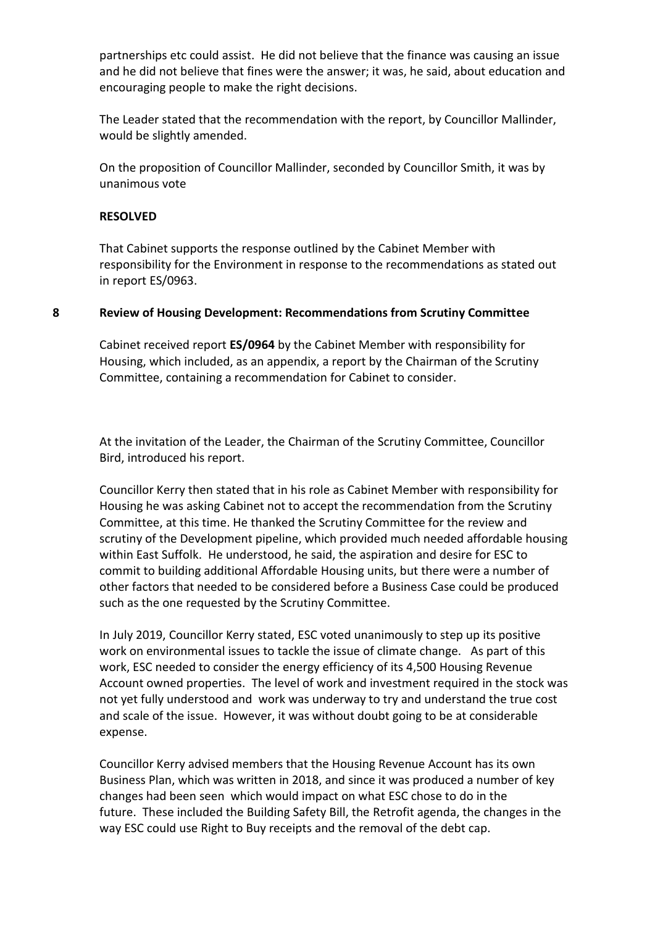partnerships etc could assist. He did not believe that the finance was causing an issue and he did not believe that fines were the answer; it was, he said, about education and encouraging people to make the right decisions.

The Leader stated that the recommendation with the report, by Councillor Mallinder, would be slightly amended.

On the proposition of Councillor Mallinder, seconded by Councillor Smith, it was by unanimous vote

#### **RESOLVED**

That Cabinet supports the response outlined by the Cabinet Member with responsibility for the Environment in response to the recommendations as stated out in report ES/0963.

## **8 Review of Housing Development: Recommendations from Scrutiny Committee**

Cabinet received report **ES/0964** by the Cabinet Member with responsibility for Housing, which included, as an appendix, a report by the Chairman of the Scrutiny Committee, containing a recommendation for Cabinet to consider.

At the invitation of the Leader, the Chairman of the Scrutiny Committee, Councillor Bird, introduced his report.

Councillor Kerry then stated that in his role as Cabinet Member with responsibility for Housing he was asking Cabinet not to accept the recommendation from the Scrutiny Committee, at this time. He thanked the Scrutiny Committee for the review and scrutiny of the Development pipeline, which provided much needed affordable housing within East Suffolk. He understood, he said, the aspiration and desire for ESC to commit to building additional Affordable Housing units, but there were a number of other factors that needed to be considered before a Business Case could be produced such as the one requested by the Scrutiny Committee.

In July 2019, Councillor Kerry stated, ESC voted unanimously to step up its positive work on environmental issues to tackle the issue of climate change. As part of this work, ESC needed to consider the energy efficiency of its 4,500 Housing Revenue Account owned properties. The level of work and investment required in the stock was not yet fully understood and work was underway to try and understand the true cost and scale of the issue. However, it was without doubt going to be at considerable expense.

Councillor Kerry advised members that the Housing Revenue Account has its own Business Plan, which was written in 2018, and since it was produced a number of key changes had been seen which would impact on what ESC chose to do in the future. These included the Building Safety Bill, the Retrofit agenda, the changes in the way ESC could use Right to Buy receipts and the removal of the debt cap.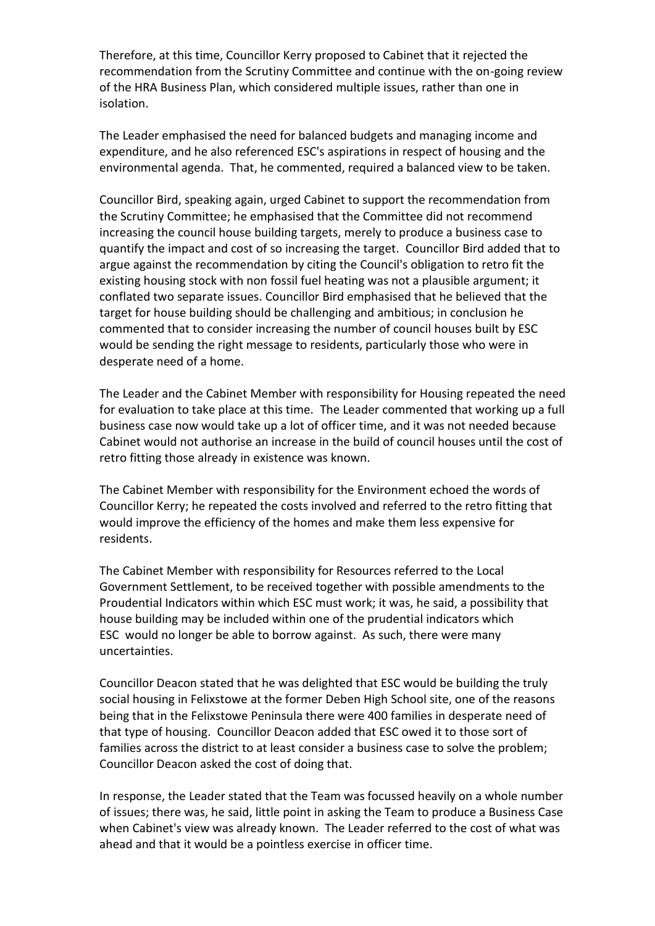Therefore, at this time, Councillor Kerry proposed to Cabinet that it rejected the recommendation from the Scrutiny Committee and continue with the on-going review of the HRA Business Plan, which considered multiple issues, rather than one in isolation.

The Leader emphasised the need for balanced budgets and managing income and expenditure, and he also referenced ESC's aspirations in respect of housing and the environmental agenda. That, he commented, required a balanced view to be taken.

Councillor Bird, speaking again, urged Cabinet to support the recommendation from the Scrutiny Committee; he emphasised that the Committee did not recommend increasing the council house building targets, merely to produce a business case to quantify the impact and cost of so increasing the target. Councillor Bird added that to argue against the recommendation by citing the Council's obligation to retro fit the existing housing stock with non fossil fuel heating was not a plausible argument; it conflated two separate issues. Councillor Bird emphasised that he believed that the target for house building should be challenging and ambitious; in conclusion he commented that to consider increasing the number of council houses built by ESC would be sending the right message to residents, particularly those who were in desperate need of a home.

The Leader and the Cabinet Member with responsibility for Housing repeated the need for evaluation to take place at this time. The Leader commented that working up a full business case now would take up a lot of officer time, and it was not needed because Cabinet would not authorise an increase in the build of council houses until the cost of retro fitting those already in existence was known.

The Cabinet Member with responsibility for the Environment echoed the words of Councillor Kerry; he repeated the costs involved and referred to the retro fitting that would improve the efficiency of the homes and make them less expensive for residents.

The Cabinet Member with responsibility for Resources referred to the Local Government Settlement, to be received together with possible amendments to the Proudential Indicators within which ESC must work; it was, he said, a possibility that house building may be included within one of the prudential indicators which ESC would no longer be able to borrow against. As such, there were many uncertainties.

Councillor Deacon stated that he was delighted that ESC would be building the truly social housing in Felixstowe at the former Deben High School site, one of the reasons being that in the Felixstowe Peninsula there were 400 families in desperate need of that type of housing. Councillor Deacon added that ESC owed it to those sort of families across the district to at least consider a business case to solve the problem; Councillor Deacon asked the cost of doing that.

In response, the Leader stated that the Team was focussed heavily on a whole number of issues; there was, he said, little point in asking the Team to produce a Business Case when Cabinet's view was already known. The Leader referred to the cost of what was ahead and that it would be a pointless exercise in officer time.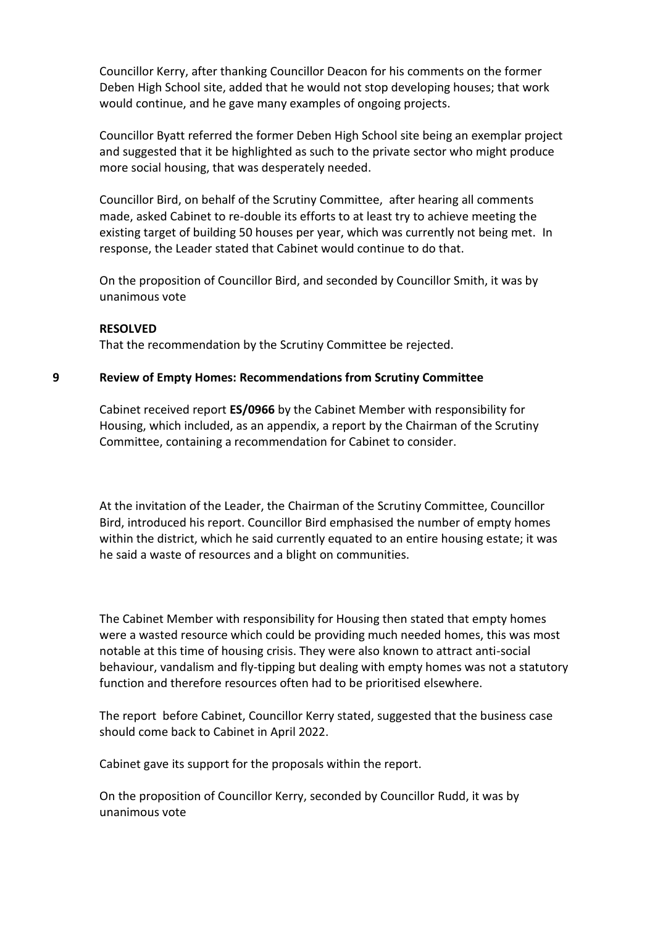Councillor Kerry, after thanking Councillor Deacon for his comments on the former Deben High School site, added that he would not stop developing houses; that work would continue, and he gave many examples of ongoing projects.

Councillor Byatt referred the former Deben High School site being an exemplar project and suggested that it be highlighted as such to the private sector who might produce more social housing, that was desperately needed.

Councillor Bird, on behalf of the Scrutiny Committee, after hearing all comments made, asked Cabinet to re-double its efforts to at least try to achieve meeting the existing target of building 50 houses per year, which was currently not being met. In response, the Leader stated that Cabinet would continue to do that.

On the proposition of Councillor Bird, and seconded by Councillor Smith, it was by unanimous vote

#### **RESOLVED**

That the recommendation by the Scrutiny Committee be rejected.

#### **9 Review of Empty Homes: Recommendations from Scrutiny Committee**

Cabinet received report **ES/0966** by the Cabinet Member with responsibility for Housing, which included, as an appendix, a report by the Chairman of the Scrutiny Committee, containing a recommendation for Cabinet to consider.

At the invitation of the Leader, the Chairman of the Scrutiny Committee, Councillor Bird, introduced his report. Councillor Bird emphasised the number of empty homes within the district, which he said currently equated to an entire housing estate; it was he said a waste of resources and a blight on communities.

The Cabinet Member with responsibility for Housing then stated that empty homes were a wasted resource which could be providing much needed homes, this was most notable at this time of housing crisis. They were also known to attract anti-social behaviour, vandalism and fly-tipping but dealing with empty homes was not a statutory function and therefore resources often had to be prioritised elsewhere.

The report before Cabinet, Councillor Kerry stated, suggested that the business case should come back to Cabinet in April 2022.

Cabinet gave its support for the proposals within the report.

On the proposition of Councillor Kerry, seconded by Councillor Rudd, it was by unanimous vote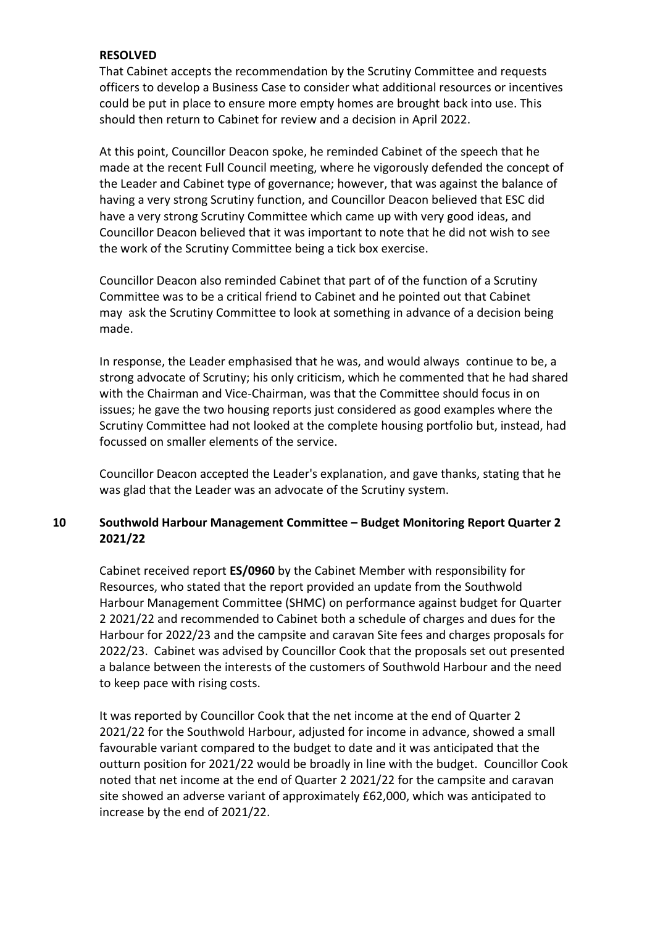## **RESOLVED**

That Cabinet accepts the recommendation by the Scrutiny Committee and requests officers to develop a Business Case to consider what additional resources or incentives could be put in place to ensure more empty homes are brought back into use. This should then return to Cabinet for review and a decision in April 2022.

At this point, Councillor Deacon spoke, he reminded Cabinet of the speech that he made at the recent Full Council meeting, where he vigorously defended the concept of the Leader and Cabinet type of governance; however, that was against the balance of having a very strong Scrutiny function, and Councillor Deacon believed that ESC did have a very strong Scrutiny Committee which came up with very good ideas, and Councillor Deacon believed that it was important to note that he did not wish to see the work of the Scrutiny Committee being a tick box exercise.

Councillor Deacon also reminded Cabinet that part of of the function of a Scrutiny Committee was to be a critical friend to Cabinet and he pointed out that Cabinet may ask the Scrutiny Committee to look at something in advance of a decision being made.

In response, the Leader emphasised that he was, and would always continue to be, a strong advocate of Scrutiny; his only criticism, which he commented that he had shared with the Chairman and Vice-Chairman, was that the Committee should focus in on issues; he gave the two housing reports just considered as good examples where the Scrutiny Committee had not looked at the complete housing portfolio but, instead, had focussed on smaller elements of the service.

Councillor Deacon accepted the Leader's explanation, and gave thanks, stating that he was glad that the Leader was an advocate of the Scrutiny system.

# **10 Southwold Harbour Management Committee – Budget Monitoring Report Quarter 2 2021/22**

Cabinet received report **ES/0960** by the Cabinet Member with responsibility for Resources, who stated that the report provided an update from the Southwold Harbour Management Committee (SHMC) on performance against budget for Quarter 2 2021/22 and recommended to Cabinet both a schedule of charges and dues for the Harbour for 2022/23 and the campsite and caravan Site fees and charges proposals for 2022/23. Cabinet was advised by Councillor Cook that the proposals set out presented a balance between the interests of the customers of Southwold Harbour and the need to keep pace with rising costs.

It was reported by Councillor Cook that the net income at the end of Quarter 2 2021/22 for the Southwold Harbour, adjusted for income in advance, showed a small favourable variant compared to the budget to date and it was anticipated that the outturn position for 2021/22 would be broadly in line with the budget. Councillor Cook noted that net income at the end of Quarter 2 2021/22 for the campsite and caravan site showed an adverse variant of approximately £62,000, which was anticipated to increase by the end of 2021/22.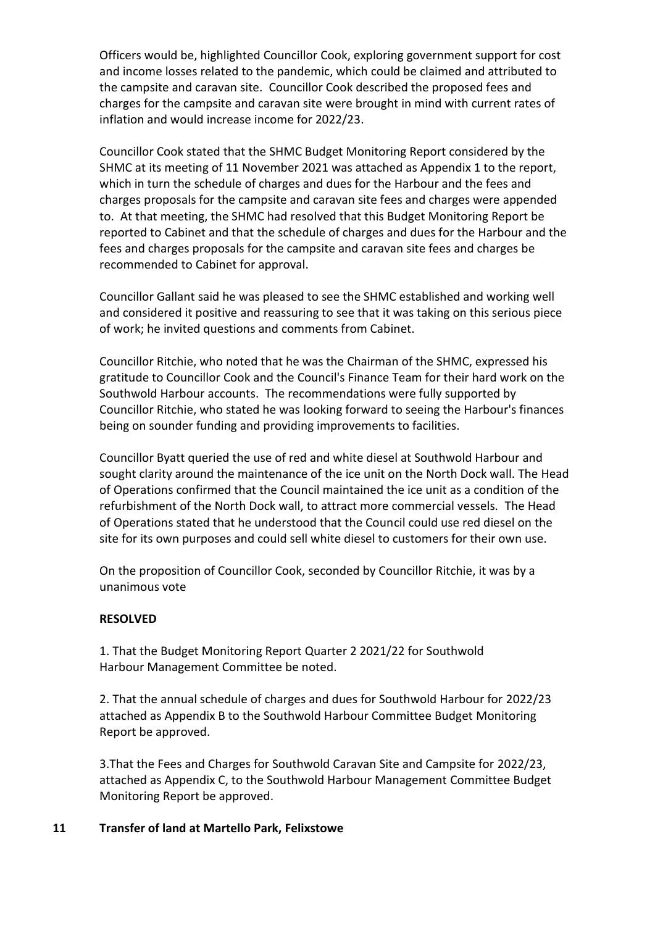Officers would be, highlighted Councillor Cook, exploring government support for cost and income losses related to the pandemic, which could be claimed and attributed to the campsite and caravan site. Councillor Cook described the proposed fees and charges for the campsite and caravan site were brought in mind with current rates of inflation and would increase income for 2022/23.

Councillor Cook stated that the SHMC Budget Monitoring Report considered by the SHMC at its meeting of 11 November 2021 was attached as Appendix 1 to the report, which in turn the schedule of charges and dues for the Harbour and the fees and charges proposals for the campsite and caravan site fees and charges were appended to. At that meeting, the SHMC had resolved that this Budget Monitoring Report be reported to Cabinet and that the schedule of charges and dues for the Harbour and the fees and charges proposals for the campsite and caravan site fees and charges be recommended to Cabinet for approval.

Councillor Gallant said he was pleased to see the SHMC established and working well and considered it positive and reassuring to see that it was taking on this serious piece of work; he invited questions and comments from Cabinet.

Councillor Ritchie, who noted that he was the Chairman of the SHMC, expressed his gratitude to Councillor Cook and the Council's Finance Team for their hard work on the Southwold Harbour accounts. The recommendations were fully supported by Councillor Ritchie, who stated he was looking forward to seeing the Harbour's finances being on sounder funding and providing improvements to facilities.

Councillor Byatt queried the use of red and white diesel at Southwold Harbour and sought clarity around the maintenance of the ice unit on the North Dock wall. The Head of Operations confirmed that the Council maintained the ice unit as a condition of the refurbishment of the North Dock wall, to attract more commercial vessels. The Head of Operations stated that he understood that the Council could use red diesel on the site for its own purposes and could sell white diesel to customers for their own use.

On the proposition of Councillor Cook, seconded by Councillor Ritchie, it was by a unanimous vote

## **RESOLVED**

1. That the Budget Monitoring Report Quarter 2 2021/22 for Southwold Harbour Management Committee be noted.

2. That the annual schedule of charges and dues for Southwold Harbour for 2022/23 attached as Appendix B to the Southwold Harbour Committee Budget Monitoring Report be approved.

3.That the Fees and Charges for Southwold Caravan Site and Campsite for 2022/23, attached as Appendix C, to the Southwold Harbour Management Committee Budget Monitoring Report be approved.

## **11 Transfer of land at Martello Park, Felixstowe**